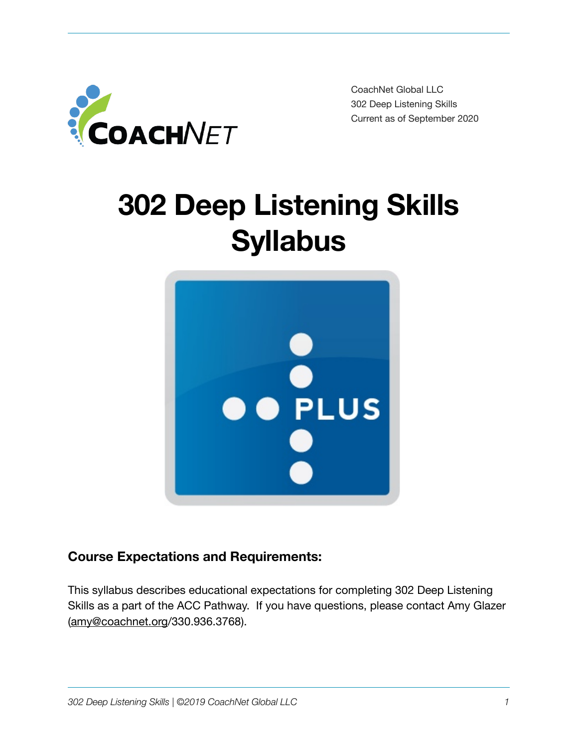

CoachNet Global LLC 302 Deep Listening Skills Current as of September 2020

# **302 Deep Listening Skills Syllabus**



# **Course Expectations and Requirements:**

This syllabus describes educational expectations for completing 302 Deep Listening Skills as a part of the ACC Pathway. If you have questions, please contact Amy Glazer [\(amy@coachnet.org/](mailto:amy@coachnet.org)330.936.3768).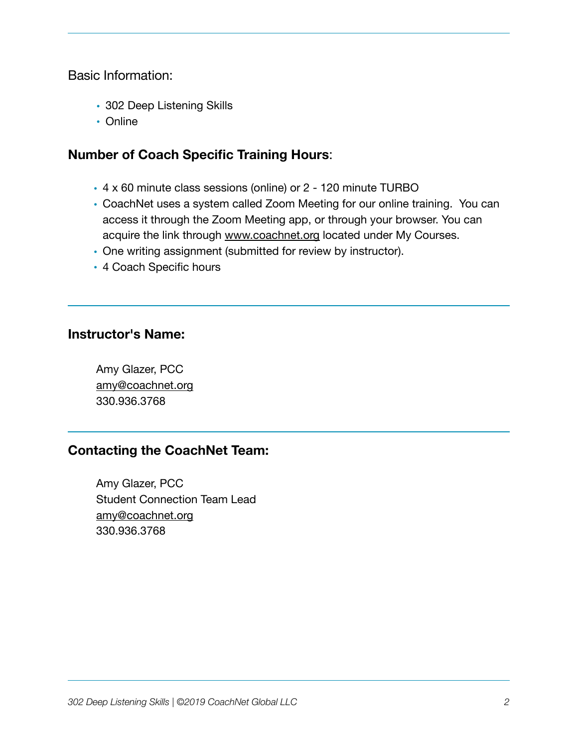Basic Information:

- 302 Deep Listening Skills
- Online

## **Number of Coach Specific Training Hours**:

- 4 x 60 minute class sessions (online) or 2 120 minute TURBO
- CoachNet uses a system called Zoom Meeting for our online training. You can access it through the Zoom Meeting app, or through your browser. You can acquire the link through [www.coachnet.org](http://www.coachnet.org) located under My Courses.
- One writing assignment (submitted for review by instructor).
- 4 Coach Specific hours

#### **Instructor's Name:**

Amy Glazer, PCC [amy@coachnet.org](mailto:amy@coachnet.org) 330.936.3768

### **Contacting the CoachNet Team:**

Amy Glazer, PCC Student Connection Team Lead [amy@coachnet.org](mailto:amy@coachnet.org) 330.936.3768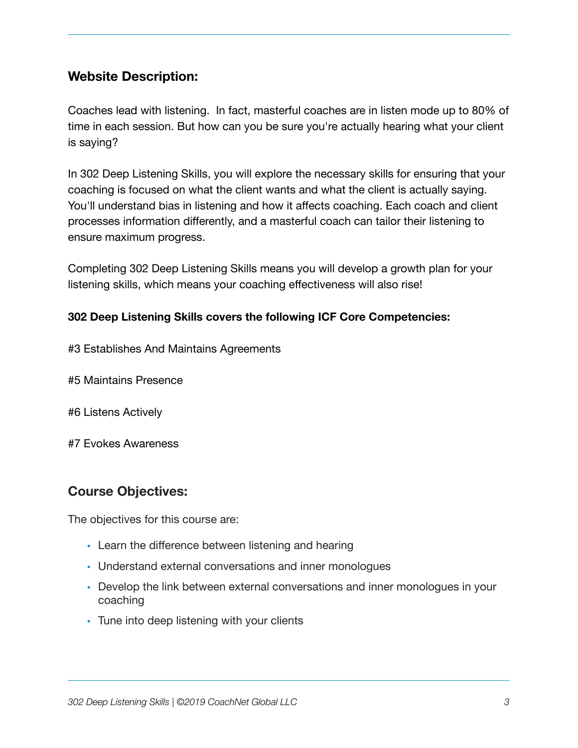## **Website Description:**

Coaches lead with listening. In fact, masterful coaches are in listen mode up to 80% of time in each session. But how can you be sure you're actually hearing what your client is saying?

In 302 Deep Listening Skills, you will explore the necessary skills for ensuring that your coaching is focused on what the client wants and what the client is actually saying. You'll understand bias in listening and how it affects coaching. Each coach and client processes information differently, and a masterful coach can tailor their listening to ensure maximum progress.

Completing 302 Deep Listening Skills means you will develop a growth plan for your listening skills, which means your coaching effectiveness will also rise!

#### **302 Deep Listening Skills covers the following ICF Core Competencies:**

- #3 Establishes And Maintains Agreements
- #5 Maintains Presence
- #6 Listens Actively
- #7 Evokes Awareness

### **Course Objectives:**

The objectives for this course are:

- Learn the difference between listening and hearing
- Understand external conversations and inner monologues
- Develop the link between external conversations and inner monologues in your coaching
- Tune into deep listening with your clients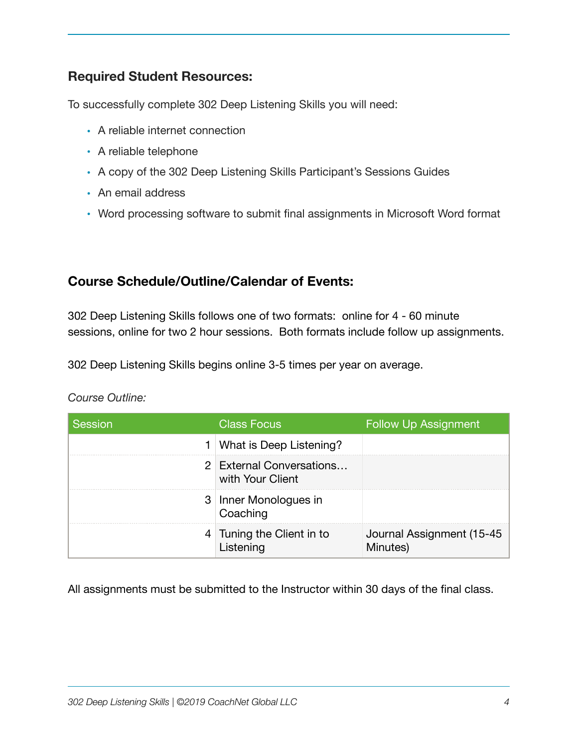## **Required Student Resources:**

To successfully complete 302 Deep Listening Skills you will need:

- A reliable internet connection
- A reliable telephone
- A copy of the 302 Deep Listening Skills Participant's Sessions Guides
- An email address
- Word processing software to submit final assignments in Microsoft Word format

#### **Course Schedule/Outline/Calendar of Events:**

302 Deep Listening Skills follows one of two formats: online for 4 - 60 minute sessions, online for two 2 hour sessions. Both formats include follow up assignments.

302 Deep Listening Skills begins online 3-5 times per year on average.

#### *Course Outline:*

| Session | <b>Class Focus</b>                           | <b>Follow Up Assignment</b>            |
|---------|----------------------------------------------|----------------------------------------|
|         | 1 What is Deep Listening?                    |                                        |
|         | 2 External Conversations<br>with Your Client |                                        |
|         | 3 Inner Monologues in<br>Coaching            |                                        |
|         | 4 Tuning the Client in to<br>Listening       | Journal Assignment (15-45)<br>Minutes) |

All assignments must be submitted to the Instructor within 30 days of the final class.